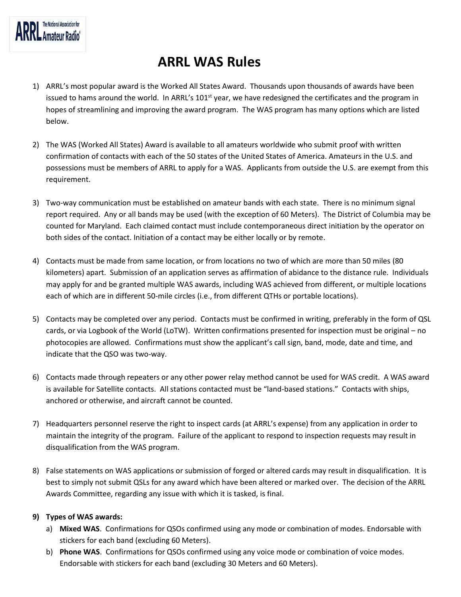# **ARRL WAS Rules**

- 1) ARRL's most popular award is the Worked All States Award. Thousands upon thousands of awards have been issued to hams around the world. In ARRL's 101<sup>st</sup> year, we have redesigned the certificates and the program in hopes of streamlining and improving the award program. The WAS program has many options which are listed below.
- 2) The WAS (Worked All States) Award is available to all amateurs worldwide who submit proof with written confirmation of contacts with each of the 50 states of the United States of America. Amateurs in the U.S. and possessions must be members of ARRL to apply for a WAS. Applicants from outside the U.S. are exempt from this requirement.
- 3) Two-way communication must be established on amateur bands with each state. There is no minimum signal report required. Any or all bands may be used (with the exception of 60 Meters). The District of Columbia may be counted for Maryland. Each claimed contact must include contemporaneous direct initiation by the operator on both sides of the contact. Initiation of a contact may be either locally or by remote.
- 4) Contacts must be made from same location, or from locations no two of which are more than 50 miles (80 kilometers) apart. Submission of an application serves as affirmation of abidance to the distance rule. Individuals may apply for and be granted multiple WAS awards, including WAS achieved from different, or multiple locations each of which are in different 50-mile circles (i.e., from different QTHs or portable locations).
- 5) Contacts may be completed over any period. Contacts must be confirmed in writing, preferably in the form of QSL cards, or via Logbook of the World (LoTW). Written confirmations presented for inspection must be original – no photocopies are allowed. Confirmations must show the applicant's call sign, band, mode, date and time, and indicate that the QSO was two-way.
- 6) Contacts made through repeaters or any other power relay method cannot be used for WAS credit. A WAS award is available for Satellite contacts. All stations contacted must be "land-based stations." Contacts with ships, anchored or otherwise, and aircraft cannot be counted.
- 7) Headquarters personnel reserve the right to inspect cards (at ARRL's expense) from any application in order to maintain the integrity of the program. Failure of the applicant to respond to inspection requests may result in disqualification from the WAS program.
- 8) False statements on WAS applications or submission of forged or altered cards may result in disqualification. It is best to simply not submit QSLs for any award which have been altered or marked over. The decision of the ARRL Awards Committee, regarding any issue with which it is tasked, is final.

# **9) Types of WAS awards:**

- a) **Mixed WAS**. Confirmations for QSOs confirmed using any mode or combination of modes. Endorsable with stickers for each band (excluding 60 Meters).
- b) **Phone WAS**. Confirmations for QSOs confirmed using any voice mode or combination of voice modes. Endorsable with stickers for each band (excluding 30 Meters and 60 Meters).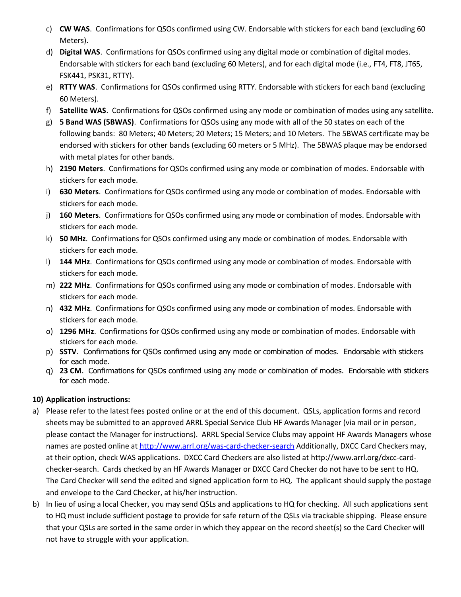- c) **CW WAS**. Confirmations for QSOs confirmed using CW. Endorsable with stickers for each band (excluding 60 Meters).
- d) **Digital WAS**. Confirmations for QSOs confirmed using any digital mode or combination of digital modes. Endorsable with stickers for each band (excluding 60 Meters), and for each digital mode (i.e., FT4, FT8, JT65, FSK441, PSK31, RTTY).
- e) **RTTY WAS**. Confirmations for QSOs confirmed using RTTY. Endorsable with stickers for each band (excluding 60 Meters).
- f) **Satellite WAS**. Confirmations for QSOs confirmed using any mode or combination of modes using any satellite.
- g) **5 Band WAS (5BWAS)**. Confirmations for QSOs using any mode with all of the 50 states on each of the following bands: 80 Meters; 40 Meters; 20 Meters; 15 Meters; and 10 Meters. The 5BWAS certificate may be endorsed with stickers for other bands (excluding 60 meters or 5 MHz). The 5BWAS plaque may be endorsed with metal plates for other bands.
- h) **2190 Meters**. Confirmations for QSOs confirmed using any mode or combination of modes. Endorsable with stickers for each mode.
- i) **630 Meters**. Confirmations for QSOs confirmed using any mode or combination of modes. Endorsable with stickers for each mode.
- j) **160 Meters**. Confirmations for QSOs confirmed using any mode or combination of modes. Endorsable with stickers for each mode.
- k) **50 MHz**. Confirmations for QSOs confirmed using any mode or combination of modes. Endorsable with stickers for each mode.
- l) **144 MHz**. Confirmations for QSOs confirmed using any mode or combination of modes. Endorsable with stickers for each mode.
- m) **222 MHz**. Confirmations for QSOs confirmed using any mode or combination of modes. Endorsable with stickers for each mode.
- n) **432 MHz**. Confirmations for QSOs confirmed using any mode or combination of modes. Endorsable with stickers for each mode.
- o) **1296 MHz**. Confirmations for QSOs confirmed using any mode or combination of modes. Endorsable with stickers for each mode.
- p) **SSTV**. Confirmations for QSOs confirmed using any mode or combination of modes. Endorsable with stickers for each mode.
- q) **23 CM**. Confirmations for QSOs confirmed using any mode or combination of modes. Endorsable with stickers for each mode.

# **10) Application instructions:**

- a) Please refer to the latest fees posted online or at the end of this document. QSLs, application forms and record sheets may be submitted to an approved ARRL Special Service Club HF Awards Manager (via mail or in person, please contact the Manager for instructions). ARRL Special Service Clubs may appoint HF Awards Managers whose names are posted online a[t http://www.arrl.org/was-card-checker-search](http://www.arrl.org/was-card-checker-search) Additionally, DXCC Card Checkers may, at their option, check WAS applications. DXCC Card Checkers are also listed at http://www.arrl.org/dxcc-cardchecker-search. Cards checked by an HF Awards Manager or DXCC Card Checker do not have to be sent to HQ. The Card Checker will send the edited and signed application form to HQ. The applicant should supply the postage and envelope to the Card Checker, at his/her instruction.
- b) In lieu of using a local Checker, you may send QSLs and applications to HQ for checking. All such applications sent to HQ must include sufficient postage to provide for safe return of the QSLs via trackable shipping. Please ensure that your QSLs are sorted in the same order in which they appear on the record sheet(s) so the Card Checker will not have to struggle with your application.